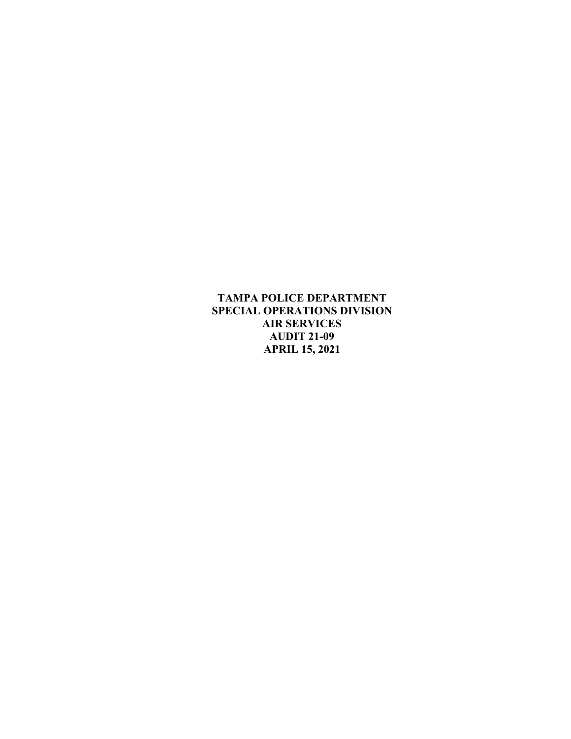**TAMPA POLICE DEPARTMENT SPECIAL OPERATIONS DIVISION AIR SERVICES AUDIT 21-09 APRIL 15, 2021**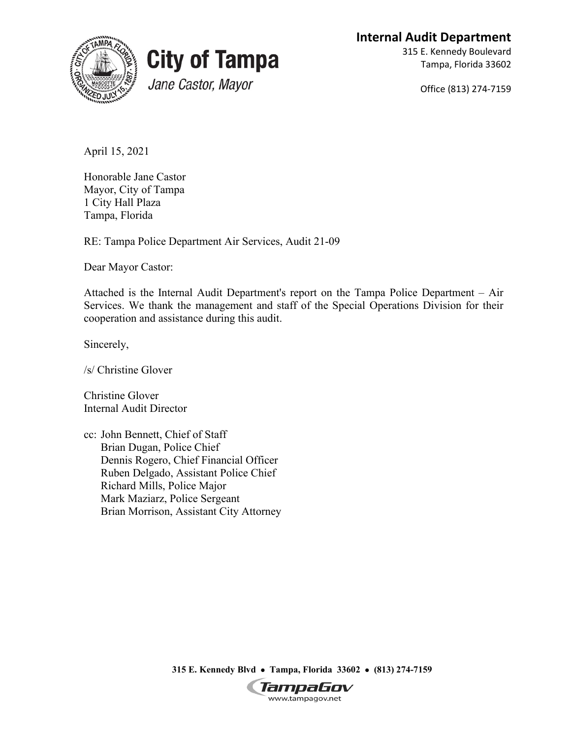**Internal Audit Department**





315 E. Kennedy Boulevard Tampa, Florida 33602

Office (813) 274-7159

April 15, 2021

Honorable Jane Castor Mayor, City of Tampa 1 City Hall Plaza Tampa, Florida

RE: Tampa Police Department Air Services, Audit 21-09

Dear Mayor Castor:

Attached is the Internal Audit Department's report on the Tampa Police Department – Air Services. We thank the management and staff of the Special Operations Division for their cooperation and assistance during this audit.

Sincerely,

/s/ Christine Glover

Christine Glover Internal Audit Director

cc: John Bennett, Chief of Staff Brian Dugan, Police Chief Dennis Rogero, Chief Financial Officer Ruben Delgado, Assistant Police Chief Richard Mills, Police Major Mark Maziarz, Police Sergeant Brian Morrison, Assistant City Attorney

**315 E. Kennedy Blvd** • **Tampa, Florida 33602** • **(813) 274-7159**

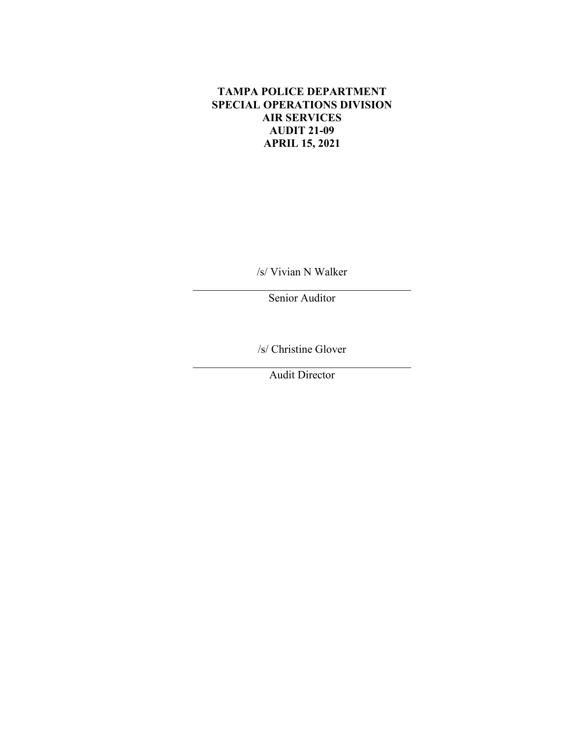## **TAMPA POLICE DEPARTMENT SPECIAL OPERATIONS DIVISION AIR SERVICES AUDIT 21-09 APRIL 15, 2021**

/s/ Vivian N Walker

\_\_\_\_\_\_\_\_\_\_\_\_\_\_\_\_\_\_\_\_\_\_\_\_\_\_\_\_\_\_\_\_\_\_\_\_\_\_\_ Senior Auditor

/s/ Christine Glover

\_\_\_\_\_\_\_\_\_\_\_\_\_\_\_\_\_\_\_\_\_\_\_\_\_\_\_\_\_\_\_\_\_\_\_\_\_\_\_ Audit Director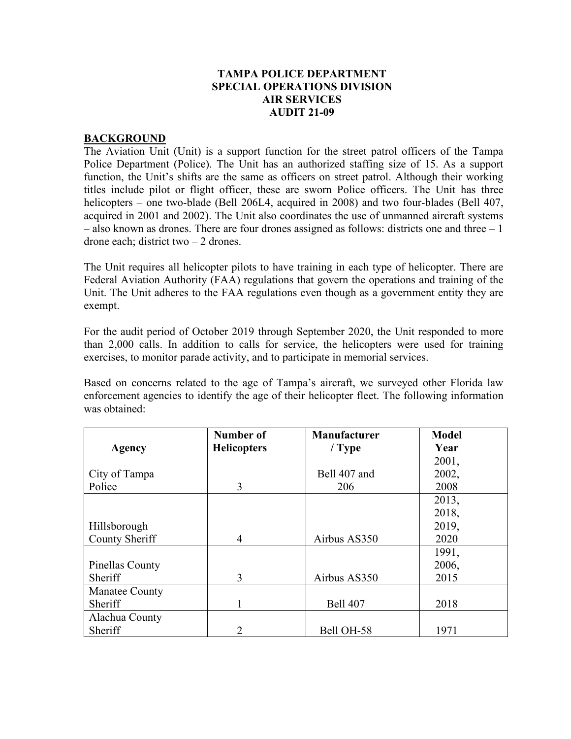### **TAMPA POLICE DEPARTMENT SPECIAL OPERATIONS DIVISION AIR SERVICES AUDIT 21-09**

#### **BACKGROUND**

The Aviation Unit (Unit) is a support function for the street patrol officers of the Tampa Police Department (Police). The Unit has an authorized staffing size of 15. As a support function, the Unit's shifts are the same as officers on street patrol. Although their working titles include pilot or flight officer, these are sworn Police officers. The Unit has three helicopters – one two-blade (Bell 206L4, acquired in 2008) and two four-blades (Bell 407, acquired in 2001 and 2002). The Unit also coordinates the use of unmanned aircraft systems – also known as drones. There are four drones assigned as follows: districts one and three – 1 drone each; district two – 2 drones.

The Unit requires all helicopter pilots to have training in each type of helicopter. There are Federal Aviation Authority (FAA) regulations that govern the operations and training of the Unit. The Unit adheres to the FAA regulations even though as a government entity they are exempt.

For the audit period of October 2019 through September 2020, the Unit responded to more than 2,000 calls. In addition to calls for service, the helicopters were used for training exercises, to monitor parade activity, and to participate in memorial services.

Based on concerns related to the age of Tampa's aircraft, we surveyed other Florida law enforcement agencies to identify the age of their helicopter fleet. The following information was obtained:

|                 | Number of          | <b>Manufacturer</b> | <b>Model</b> |
|-----------------|--------------------|---------------------|--------------|
| Agency          | <b>Helicopters</b> | $/$ Type            | Year         |
|                 |                    |                     | 2001,        |
| City of Tampa   |                    | Bell 407 and        | 2002,        |
| Police          | 3                  | 206                 | 2008         |
|                 |                    |                     | 2013,        |
|                 |                    |                     | 2018,        |
| Hillsborough    |                    |                     | 2019,        |
| County Sheriff  | $\overline{4}$     | Airbus AS350        | 2020         |
|                 |                    |                     | 1991,        |
| Pinellas County |                    |                     | 2006,        |
| Sheriff         | 3                  | Airbus AS350        | 2015         |
| Manatee County  |                    |                     |              |
| Sheriff         |                    | <b>Bell 407</b>     | 2018         |
| Alachua County  |                    |                     |              |
| Sheriff         | っ                  | Bell OH-58          | 1971         |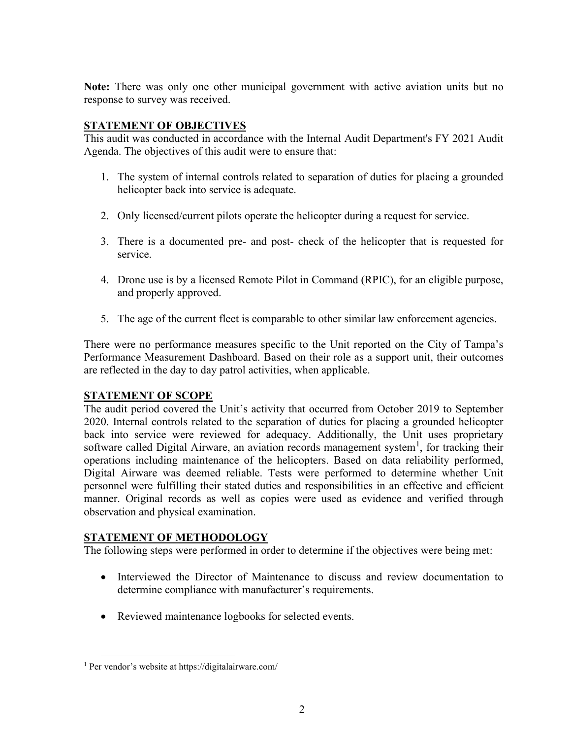**Note:** There was only one other municipal government with active aviation units but no response to survey was received.

# **STATEMENT OF OBJECTIVES**

This audit was conducted in accordance with the Internal Audit Department's FY 2021 Audit Agenda. The objectives of this audit were to ensure that:

- 1. The system of internal controls related to separation of duties for placing a grounded helicopter back into service is adequate.
- 2. Only licensed/current pilots operate the helicopter during a request for service.
- 3. There is a documented pre- and post- check of the helicopter that is requested for service.
- 4. Drone use is by a licensed Remote Pilot in Command (RPIC), for an eligible purpose, and properly approved.
- 5. The age of the current fleet is comparable to other similar law enforcement agencies.

There were no performance measures specific to the Unit reported on the City of Tampa's Performance Measurement Dashboard. Based on their role as a support unit, their outcomes are reflected in the day to day patrol activities, when applicable.

# **STATEMENT OF SCOPE**

The audit period covered the Unit's activity that occurred from October 2019 to September 2020. Internal controls related to the separation of duties for placing a grounded helicopter back into service were reviewed for adequacy. Additionally, the Unit uses proprietary software called Digital Airware, an aviation records management system<sup>[1](#page-4-0)</sup>, for tracking their operations including maintenance of the helicopters. Based on data reliability performed, Digital Airware was deemed reliable. Tests were performed to determine whether Unit personnel were fulfilling their stated duties and responsibilities in an effective and efficient manner. Original records as well as copies were used as evidence and verified through observation and physical examination.

### **STATEMENT OF METHODOLOGY**

The following steps were performed in order to determine if the objectives were being met:

- Interviewed the Director of Maintenance to discuss and review documentation to determine compliance with manufacturer's requirements.
- Reviewed maintenance logbooks for selected events.

<span id="page-4-0"></span><sup>1</sup> Per vendor's website at https://digitalairware.com/